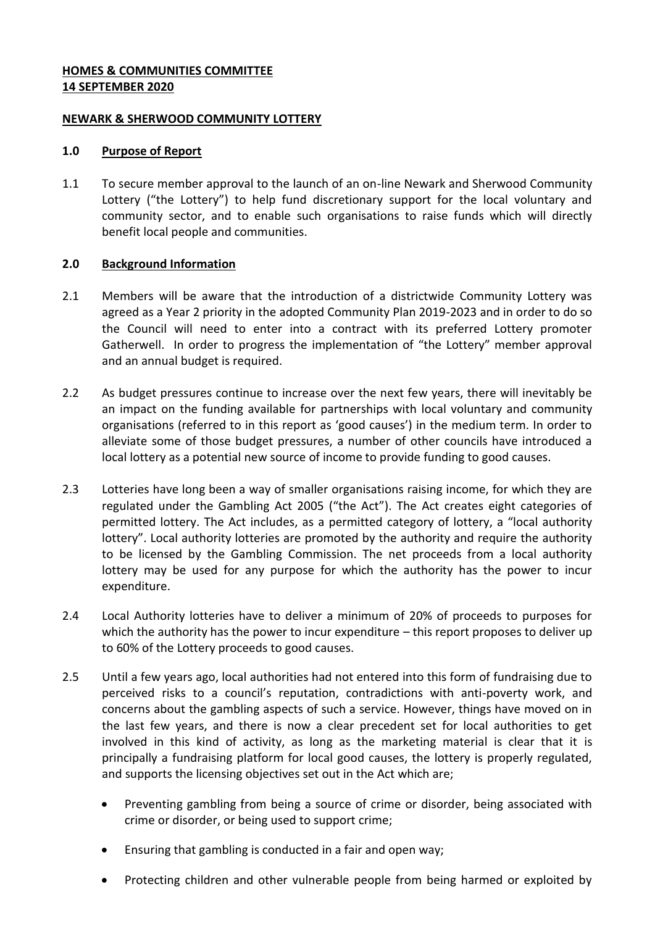## **HOMES & COMMUNITIES COMMITTEE 14 SEPTEMBER 2020**

### **NEWARK & SHERWOOD COMMUNITY LOTTERY**

#### **1.0 Purpose of Report**

1.1 To secure member approval to the launch of an on-line Newark and Sherwood Community Lottery ("the Lottery") to help fund discretionary support for the local voluntary and community sector, and to enable such organisations to raise funds which will directly benefit local people and communities.

### **2.0 Background Information**

- 2.1 Members will be aware that the introduction of a districtwide Community Lottery was agreed as a Year 2 priority in the adopted Community Plan 2019-2023 and in order to do so the Council will need to enter into a contract with its preferred Lottery promoter Gatherwell. In order to progress the implementation of "the Lottery" member approval and an annual budget is required.
- 2.2 As budget pressures continue to increase over the next few years, there will inevitably be an impact on the funding available for partnerships with local voluntary and community organisations (referred to in this report as 'good causes') in the medium term. In order to alleviate some of those budget pressures, a number of other councils have introduced a local lottery as a potential new source of income to provide funding to good causes.
- 2.3 Lotteries have long been a way of smaller organisations raising income, for which they are regulated under the Gambling Act 2005 ("the Act"). The Act creates eight categories of permitted lottery. The Act includes, as a permitted category of lottery, a "local authority lottery". Local authority lotteries are promoted by the authority and require the authority to be licensed by the Gambling Commission. The net proceeds from a local authority lottery may be used for any purpose for which the authority has the power to incur expenditure.
- 2.4 Local Authority lotteries have to deliver a minimum of 20% of proceeds to purposes for which the authority has the power to incur expenditure – this report proposes to deliver up to 60% of the Lottery proceeds to good causes.
- 2.5 Until a few years ago, local authorities had not entered into this form of fundraising due to perceived risks to a council's reputation, contradictions with anti-poverty work, and concerns about the gambling aspects of such a service. However, things have moved on in the last few years, and there is now a clear precedent set for local authorities to get involved in this kind of activity, as long as the marketing material is clear that it is principally a fundraising platform for local good causes, the lottery is properly regulated, and supports the licensing objectives set out in the Act which are;
	- Preventing gambling from being a source of crime or disorder, being associated with crime or disorder, or being used to support crime;
	- Ensuring that gambling is conducted in a fair and open way;
	- Protecting children and other vulnerable people from being harmed or exploited by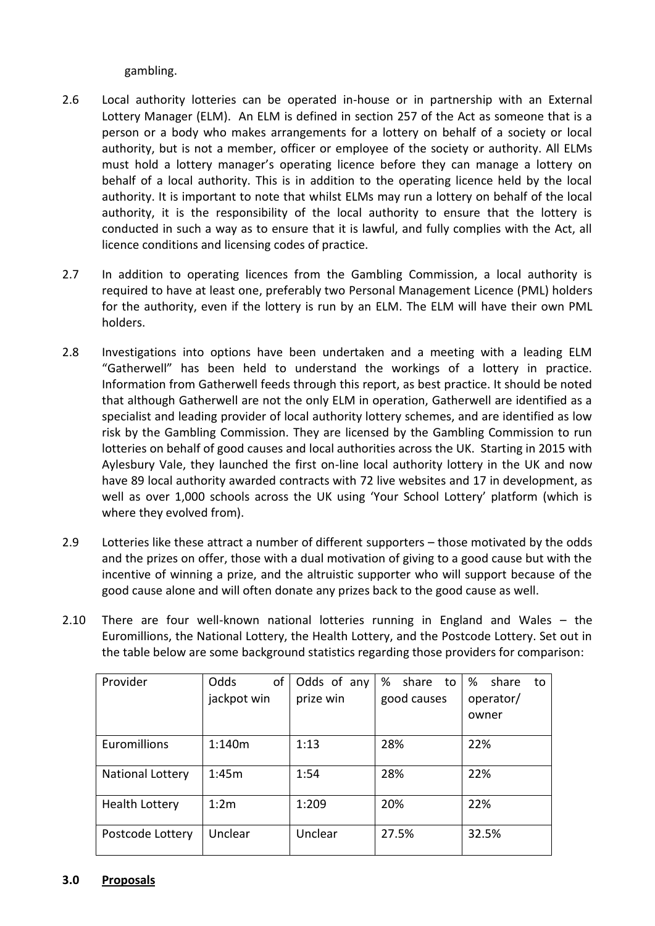gambling.

- 2.6 Local authority lotteries can be operated in-house or in partnership with an External Lottery Manager (ELM). An ELM is defined in section 257 of the Act as someone that is a person or a body who makes arrangements for a lottery on behalf of a society or local authority, but is not a member, officer or employee of the society or authority. All ELMs must hold a lottery manager's operating licence before they can manage a lottery on behalf of a local authority. This is in addition to the operating licence held by the local authority. It is important to note that whilst ELMs may run a lottery on behalf of the local authority, it is the responsibility of the local authority to ensure that the lottery is conducted in such a way as to ensure that it is lawful, and fully complies with the Act, all licence conditions and licensing codes of practice.
- 2.7 In addition to operating licences from the Gambling Commission, a local authority is required to have at least one, preferably two Personal Management Licence (PML) holders for the authority, even if the lottery is run by an ELM. The ELM will have their own PML holders.
- 2.8 Investigations into options have been undertaken and a meeting with a leading ELM "Gatherwell" has been held to understand the workings of a lottery in practice. Information from Gatherwell feeds through this report, as best practice. It should be noted that although Gatherwell are not the only ELM in operation, Gatherwell are identified as a specialist and leading provider of local authority lottery schemes, and are identified as low risk by the Gambling Commission. They are licensed by the Gambling Commission to run lotteries on behalf of good causes and local authorities across the UK. Starting in 2015 with Aylesbury Vale, they launched the first on-line local authority lottery in the UK and now have 89 local authority awarded contracts with 72 live websites and 17 in development, as well as over 1,000 schools across the UK using 'Your School Lottery' platform (which is where they evolved from).
- 2.9 Lotteries like these attract a number of different supporters those motivated by the odds and the prizes on offer, those with a dual motivation of giving to a good cause but with the incentive of winning a prize, and the altruistic supporter who will support because of the good cause alone and will often donate any prizes back to the good cause as well.
- 2.10 There are four well-known national lotteries running in England and Wales the Euromillions, the National Lottery, the Health Lottery, and the Postcode Lottery. Set out in the table below are some background statistics regarding those providers for comparison:

| Provider                | Odds<br>of  | Odds of any | % share to  | share<br>%<br>to |
|-------------------------|-------------|-------------|-------------|------------------|
|                         | jackpot win | prize win   | good causes | operator/        |
|                         |             |             |             | owner            |
|                         |             |             |             |                  |
| Euromillions            | 1:140m      | 1:13        | 28%         | 22%              |
|                         |             |             |             |                  |
| <b>National Lottery</b> | 1:45m       | 1:54        | 28%         | 22%              |
|                         |             |             |             |                  |
| <b>Health Lottery</b>   | 1:2m        | 1:209       | 20%         | 22%              |
|                         |             |             |             |                  |
| Postcode Lottery        | Unclear     | Unclear     | 27.5%       | 32.5%            |
|                         |             |             |             |                  |

### **3.0 Proposals**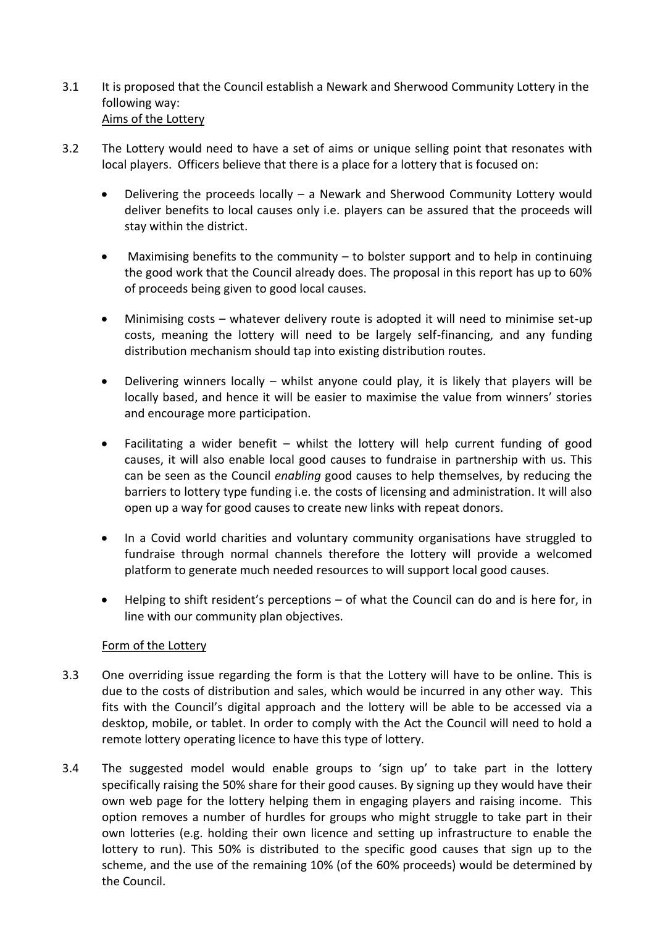- 3.1 It is proposed that the Council establish a Newark and Sherwood Community Lottery in the following way: Aims of the Lottery
- 3.2 The Lottery would need to have a set of aims or unique selling point that resonates with local players. Officers believe that there is a place for a lottery that is focused on:
	- Delivering the proceeds locally a Newark and Sherwood Community Lottery would deliver benefits to local causes only i.e. players can be assured that the proceeds will stay within the district.
	- Maximising benefits to the community to bolster support and to help in continuing the good work that the Council already does. The proposal in this report has up to 60% of proceeds being given to good local causes.
	- Minimising costs whatever delivery route is adopted it will need to minimise set-up costs, meaning the lottery will need to be largely self-financing, and any funding distribution mechanism should tap into existing distribution routes.
	- Delivering winners locally whilst anyone could play, it is likely that players will be locally based, and hence it will be easier to maximise the value from winners' stories and encourage more participation.
	- Facilitating a wider benefit whilst the lottery will help current funding of good causes, it will also enable local good causes to fundraise in partnership with us. This can be seen as the Council *enabling* good causes to help themselves, by reducing the barriers to lottery type funding i.e. the costs of licensing and administration. It will also open up a way for good causes to create new links with repeat donors.
	- In a Covid world charities and voluntary community organisations have struggled to fundraise through normal channels therefore the lottery will provide a welcomed platform to generate much needed resources to will support local good causes.
	- Helping to shift resident's perceptions of what the Council can do and is here for, in line with our community plan objectives.

# Form of the Lottery

- 3.3 One overriding issue regarding the form is that the Lottery will have to be online. This is due to the costs of distribution and sales, which would be incurred in any other way. This fits with the Council's digital approach and the lottery will be able to be accessed via a desktop, mobile, or tablet. In order to comply with the Act the Council will need to hold a remote lottery operating licence to have this type of lottery.
- 3.4 The suggested model would enable groups to 'sign up' to take part in the lottery specifically raising the 50% share for their good causes. By signing up they would have their own web page for the lottery helping them in engaging players and raising income. This option removes a number of hurdles for groups who might struggle to take part in their own lotteries (e.g. holding their own licence and setting up infrastructure to enable the lottery to run). This 50% is distributed to the specific good causes that sign up to the scheme, and the use of the remaining 10% (of the 60% proceeds) would be determined by the Council.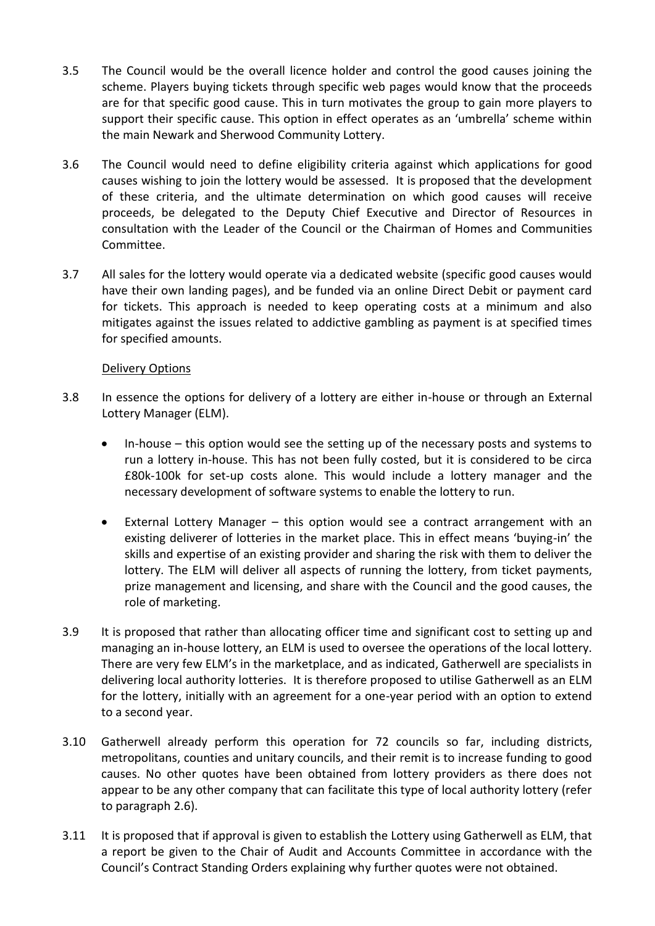- 3.5 The Council would be the overall licence holder and control the good causes joining the scheme. Players buying tickets through specific web pages would know that the proceeds are for that specific good cause. This in turn motivates the group to gain more players to support their specific cause. This option in effect operates as an 'umbrella' scheme within the main Newark and Sherwood Community Lottery.
- 3.6 The Council would need to define eligibility criteria against which applications for good causes wishing to join the lottery would be assessed. It is proposed that the development of these criteria, and the ultimate determination on which good causes will receive proceeds, be delegated to the Deputy Chief Executive and Director of Resources in consultation with the Leader of the Council or the Chairman of Homes and Communities Committee.
- 3.7 All sales for the lottery would operate via a dedicated website (specific good causes would have their own landing pages), and be funded via an online Direct Debit or payment card for tickets. This approach is needed to keep operating costs at a minimum and also mitigates against the issues related to addictive gambling as payment is at specified times for specified amounts.

### Delivery Options

- 3.8 In essence the options for delivery of a lottery are either in-house or through an External Lottery Manager (ELM).
	- In-house this option would see the setting up of the necessary posts and systems to run a lottery in-house. This has not been fully costed, but it is considered to be circa £80k-100k for set-up costs alone. This would include a lottery manager and the necessary development of software systems to enable the lottery to run.
	- External Lottery Manager this option would see a contract arrangement with an existing deliverer of lotteries in the market place. This in effect means 'buying-in' the skills and expertise of an existing provider and sharing the risk with them to deliver the lottery. The ELM will deliver all aspects of running the lottery, from ticket payments, prize management and licensing, and share with the Council and the good causes, the role of marketing.
- 3.9 It is proposed that rather than allocating officer time and significant cost to setting up and managing an in-house lottery, an ELM is used to oversee the operations of the local lottery. There are very few ELM's in the marketplace, and as indicated, Gatherwell are specialists in delivering local authority lotteries. It is therefore proposed to utilise Gatherwell as an ELM for the lottery, initially with an agreement for a one-year period with an option to extend to a second year.
- 3.10 Gatherwell already perform this operation for 72 councils so far, including districts, metropolitans, counties and unitary councils, and their remit is to increase funding to good causes. No other quotes have been obtained from lottery providers as there does not appear to be any other company that can facilitate this type of local authority lottery (refer to paragraph 2.6).
- 3.11 It is proposed that if approval is given to establish the Lottery using Gatherwell as ELM, that a report be given to the Chair of Audit and Accounts Committee in accordance with the Council's Contract Standing Orders explaining why further quotes were not obtained.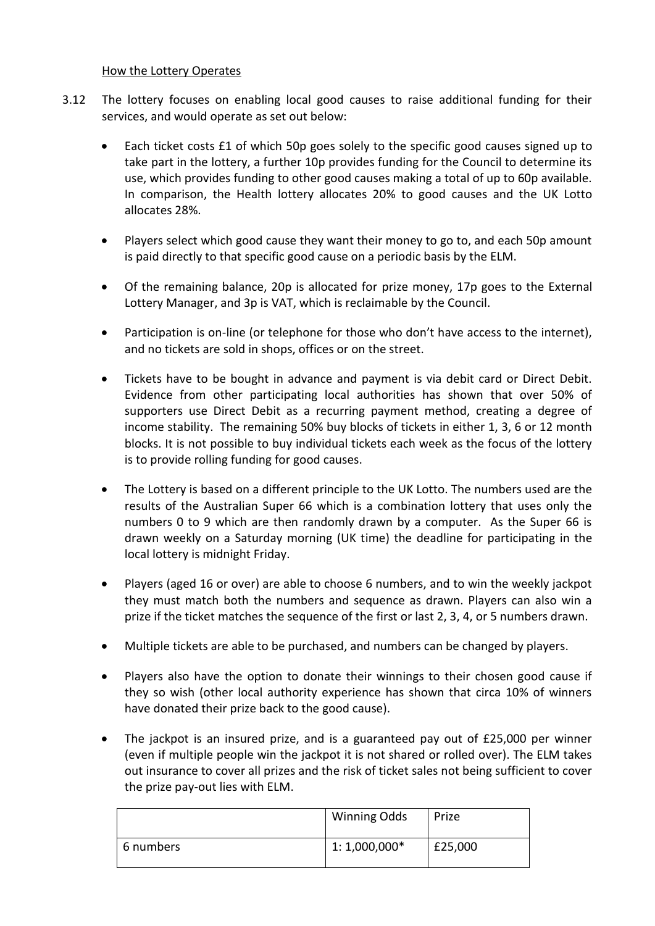#### How the Lottery Operates

- 3.12 The lottery focuses on enabling local good causes to raise additional funding for their services, and would operate as set out below:
	- Each ticket costs £1 of which 50p goes solely to the specific good causes signed up to take part in the lottery, a further 10p provides funding for the Council to determine its use, which provides funding to other good causes making a total of up to 60p available. In comparison, the Health lottery allocates 20% to good causes and the UK Lotto allocates 28%.
	- Players select which good cause they want their money to go to, and each 50p amount is paid directly to that specific good cause on a periodic basis by the ELM.
	- Of the remaining balance, 20p is allocated for prize money, 17p goes to the External Lottery Manager, and 3p is VAT, which is reclaimable by the Council.
	- Participation is on-line (or telephone for those who don't have access to the internet), and no tickets are sold in shops, offices or on the street.
	- Tickets have to be bought in advance and payment is via debit card or Direct Debit. Evidence from other participating local authorities has shown that over 50% of supporters use Direct Debit as a recurring payment method, creating a degree of income stability. The remaining 50% buy blocks of tickets in either 1, 3, 6 or 12 month blocks. It is not possible to buy individual tickets each week as the focus of the lottery is to provide rolling funding for good causes.
	- The Lottery is based on a different principle to the UK Lotto. The numbers used are the results of the Australian Super 66 which is a combination lottery that uses only the numbers 0 to 9 which are then randomly drawn by a computer. As the Super 66 is drawn weekly on a Saturday morning (UK time) the deadline for participating in the local lottery is midnight Friday.
	- Players (aged 16 or over) are able to choose 6 numbers, and to win the weekly jackpot they must match both the numbers and sequence as drawn. Players can also win a prize if the ticket matches the sequence of the first or last 2, 3, 4, or 5 numbers drawn.
	- Multiple tickets are able to be purchased, and numbers can be changed by players.
	- Players also have the option to donate their winnings to their chosen good cause if they so wish (other local authority experience has shown that circa 10% of winners have donated their prize back to the good cause).
	- The jackpot is an insured prize, and is a guaranteed pay out of £25,000 per winner (even if multiple people win the jackpot it is not shared or rolled over). The ELM takes out insurance to cover all prizes and the risk of ticket sales not being sufficient to cover the prize pay-out lies with ELM.

|           | Winning Odds   | <b>Prize</b> |
|-----------|----------------|--------------|
| 6 numbers | $1:1,000,000*$ | £25,000      |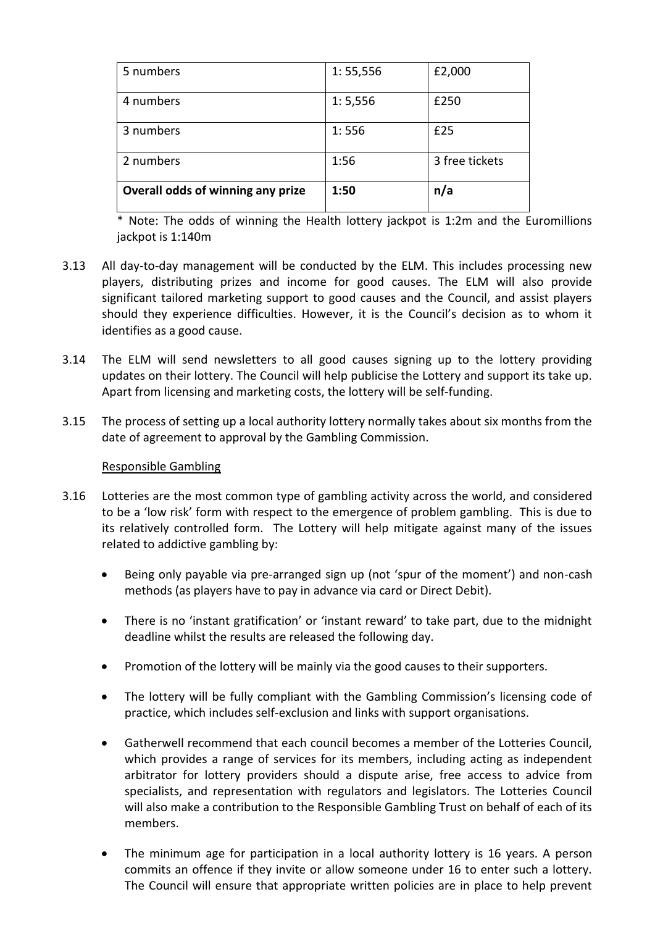| 5 numbers                         | 1: 55, 556 | £2,000         |
|-----------------------------------|------------|----------------|
| 4 numbers                         | 1: 5,556   | £250           |
| 3 numbers                         | 1:556      | £25            |
| 2 numbers                         | 1:56       | 3 free tickets |
| Overall odds of winning any prize | 1:50       | n/a            |

\* Note: The odds of winning the Health lottery jackpot is 1:2m and the Euromillions jackpot is 1:140m

- 3.13 All day-to-day management will be conducted by the ELM. This includes processing new players, distributing prizes and income for good causes. The ELM will also provide significant tailored marketing support to good causes and the Council, and assist players should they experience difficulties. However, it is the Council's decision as to whom it identifies as a good cause.
- 3.14 The ELM will send newsletters to all good causes signing up to the lottery providing updates on their lottery. The Council will help publicise the Lottery and support its take up. Apart from licensing and marketing costs, the lottery will be self-funding.
- 3.15 The process of setting up a local authority lottery normally takes about six months from the date of agreement to approval by the Gambling Commission.

### Responsible Gambling

- 3.16 Lotteries are the most common type of gambling activity across the world, and considered to be a 'low risk' form with respect to the emergence of problem gambling. This is due to its relatively controlled form. The Lottery will help mitigate against many of the issues related to addictive gambling by:
	- Being only payable via pre-arranged sign up (not 'spur of the moment') and non-cash methods (as players have to pay in advance via card or Direct Debit).
	- There is no 'instant gratification' or 'instant reward' to take part, due to the midnight deadline whilst the results are released the following day.
	- Promotion of the lottery will be mainly via the good causes to their supporters.
	- The lottery will be fully compliant with the Gambling Commission's licensing code of practice, which includes self-exclusion and links with support organisations.
	- Gatherwell recommend that each council becomes a member of the Lotteries Council, which provides a range of services for its members, including acting as independent arbitrator for lottery providers should a dispute arise, free access to advice from specialists, and representation with regulators and legislators. The Lotteries Council will also make a contribution to the Responsible Gambling Trust on behalf of each of its members.
	- The minimum age for participation in a local authority lottery is 16 years. A person commits an offence if they invite or allow someone under 16 to enter such a lottery. The Council will ensure that appropriate written policies are in place to help prevent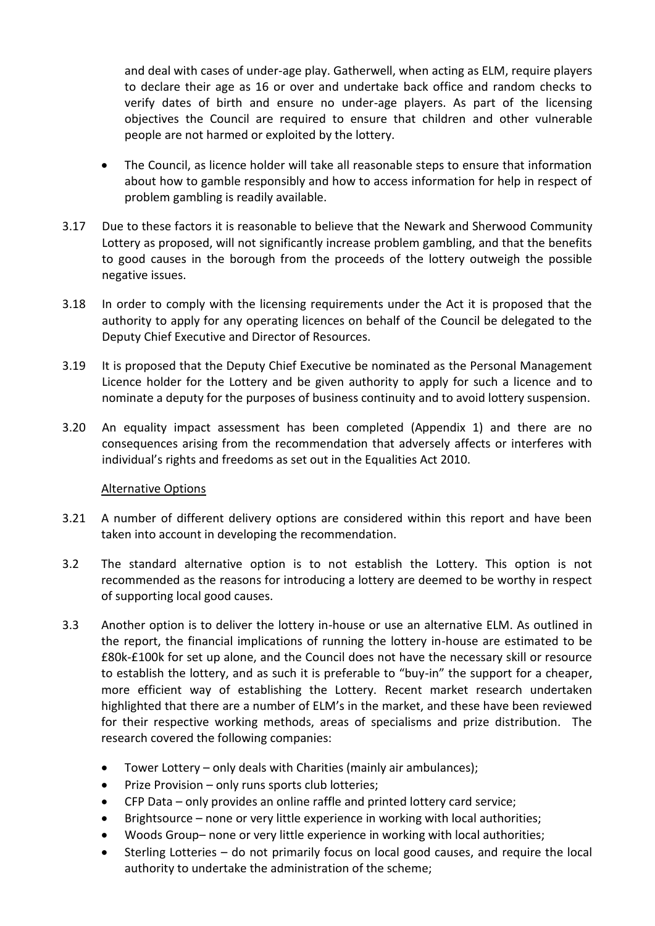and deal with cases of under-age play. Gatherwell, when acting as ELM, require players to declare their age as 16 or over and undertake back office and random checks to verify dates of birth and ensure no under-age players. As part of the licensing objectives the Council are required to ensure that children and other vulnerable people are not harmed or exploited by the lottery.

- The Council, as licence holder will take all reasonable steps to ensure that information about how to gamble responsibly and how to access information for help in respect of problem gambling is readily available.
- 3.17 Due to these factors it is reasonable to believe that the Newark and Sherwood Community Lottery as proposed, will not significantly increase problem gambling, and that the benefits to good causes in the borough from the proceeds of the lottery outweigh the possible negative issues.
- 3.18 In order to comply with the licensing requirements under the Act it is proposed that the authority to apply for any operating licences on behalf of the Council be delegated to the Deputy Chief Executive and Director of Resources.
- 3.19 It is proposed that the Deputy Chief Executive be nominated as the Personal Management Licence holder for the Lottery and be given authority to apply for such a licence and to nominate a deputy for the purposes of business continuity and to avoid lottery suspension.
- 3.20 An equality impact assessment has been completed (Appendix 1) and there are no consequences arising from the recommendation that adversely affects or interferes with individual's rights and freedoms as set out in the Equalities Act 2010.

### Alternative Options

- 3.21 A number of different delivery options are considered within this report and have been taken into account in developing the recommendation.
- 3.2 The standard alternative option is to not establish the Lottery. This option is not recommended as the reasons for introducing a lottery are deemed to be worthy in respect of supporting local good causes.
- 3.3 Another option is to deliver the lottery in-house or use an alternative ELM. As outlined in the report, the financial implications of running the lottery in-house are estimated to be £80k-£100k for set up alone, and the Council does not have the necessary skill or resource to establish the lottery, and as such it is preferable to "buy-in" the support for a cheaper, more efficient way of establishing the Lottery. Recent market research undertaken highlighted that there are a number of ELM's in the market, and these have been reviewed for their respective working methods, areas of specialisms and prize distribution. The research covered the following companies:
	- Tower Lottery only deals with Charities (mainly air ambulances);
	- Prize Provision only runs sports club lotteries;
	- CFP Data only provides an online raffle and printed lottery card service;
	- Brightsource none or very little experience in working with local authorities;
	- Woods Group– none or very little experience in working with local authorities;
	- Sterling Lotteries do not primarily focus on local good causes, and require the local authority to undertake the administration of the scheme;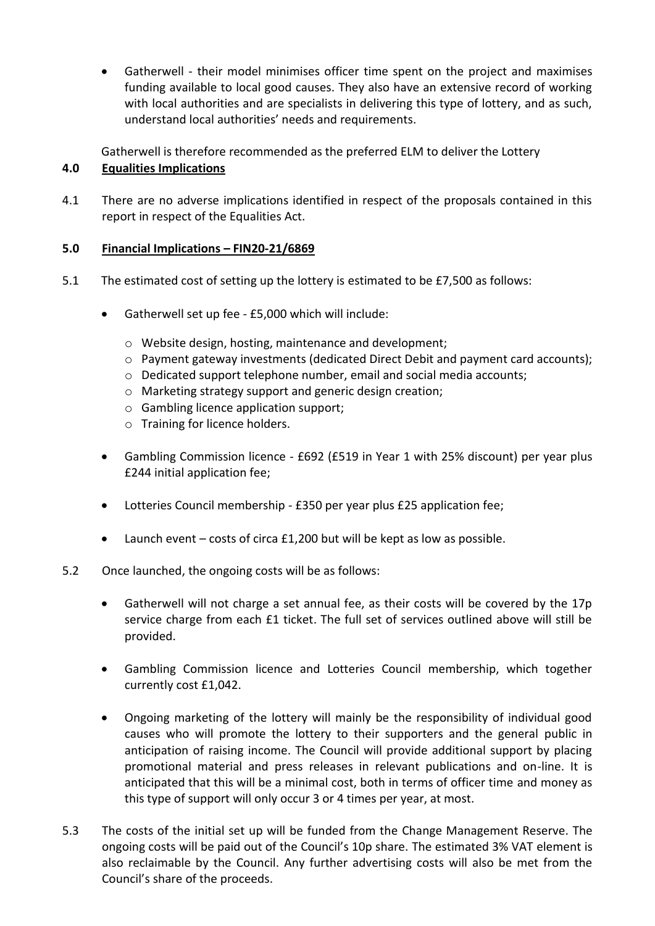Gatherwell - their model minimises officer time spent on the project and maximises funding available to local good causes. They also have an extensive record of working with local authorities and are specialists in delivering this type of lottery, and as such, understand local authorities' needs and requirements.

Gatherwell is therefore recommended as the preferred ELM to deliver the Lottery

# **4.0 Equalities Implications**

4.1 There are no adverse implications identified in respect of the proposals contained in this report in respect of the Equalities Act.

# **5.0 Financial Implications – FIN20-21/6869**

- 5.1 The estimated cost of setting up the lottery is estimated to be £7,500 as follows:
	- Gatherwell set up fee £5,000 which will include:
		- o Website design, hosting, maintenance and development;
		- o Payment gateway investments (dedicated Direct Debit and payment card accounts);
		- o Dedicated support telephone number, email and social media accounts;
		- o Marketing strategy support and generic design creation;
		- o Gambling licence application support;
		- o Training for licence holders.
	- Gambling Commission licence £692 (£519 in Year 1 with 25% discount) per year plus £244 initial application fee;
	- Lotteries Council membership £350 per year plus £25 application fee;
	- Launch event costs of circa £1,200 but will be kept as low as possible.
- 5.2 Once launched, the ongoing costs will be as follows:
	- Gatherwell will not charge a set annual fee, as their costs will be covered by the 17p service charge from each £1 ticket. The full set of services outlined above will still be provided.
	- Gambling Commission licence and Lotteries Council membership, which together currently cost £1,042.
	- Ongoing marketing of the lottery will mainly be the responsibility of individual good causes who will promote the lottery to their supporters and the general public in anticipation of raising income. The Council will provide additional support by placing promotional material and press releases in relevant publications and on-line. It is anticipated that this will be a minimal cost, both in terms of officer time and money as this type of support will only occur 3 or 4 times per year, at most.
- 5.3 The costs of the initial set up will be funded from the Change Management Reserve. The ongoing costs will be paid out of the Council's 10p share. The estimated 3% VAT element is also reclaimable by the Council. Any further advertising costs will also be met from the Council's share of the proceeds.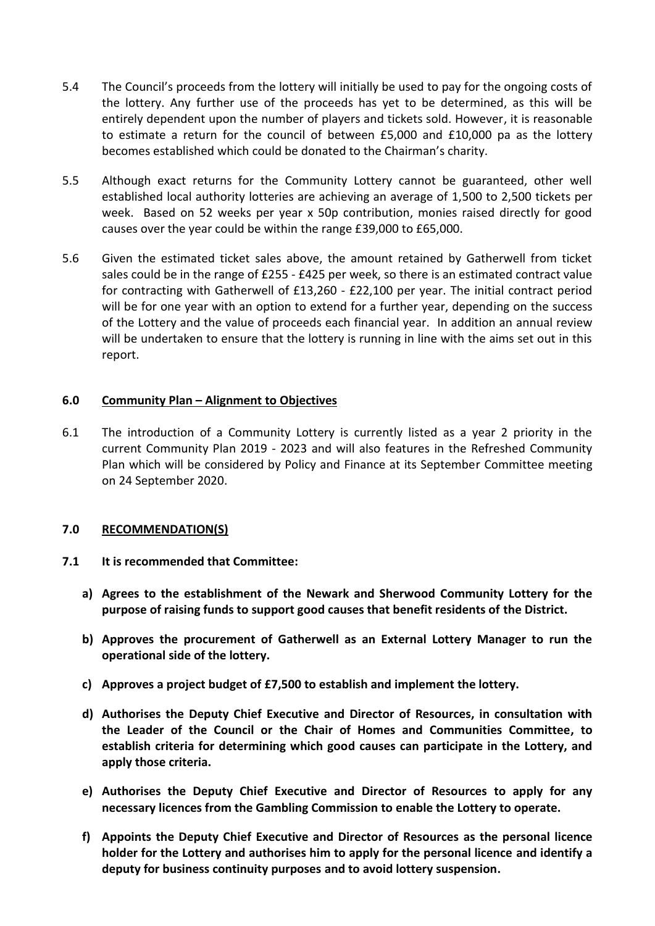- 5.4 The Council's proceeds from the lottery will initially be used to pay for the ongoing costs of the lottery. Any further use of the proceeds has yet to be determined, as this will be entirely dependent upon the number of players and tickets sold. However, it is reasonable to estimate a return for the council of between £5,000 and £10,000 pa as the lottery becomes established which could be donated to the Chairman's charity.
- 5.5 Although exact returns for the Community Lottery cannot be guaranteed, other well established local authority lotteries are achieving an average of 1,500 to 2,500 tickets per week. Based on 52 weeks per year x 50p contribution, monies raised directly for good causes over the year could be within the range £39,000 to £65,000.
- 5.6 Given the estimated ticket sales above, the amount retained by Gatherwell from ticket sales could be in the range of £255 - £425 per week, so there is an estimated contract value for contracting with Gatherwell of £13,260 - £22,100 per year. The initial contract period will be for one year with an option to extend for a further year, depending on the success of the Lottery and the value of proceeds each financial year. In addition an annual review will be undertaken to ensure that the lottery is running in line with the aims set out in this report.

# **6.0 Community Plan – Alignment to Objectives**

6.1 The introduction of a Community Lottery is currently listed as a year 2 priority in the current Community Plan 2019 - 2023 and will also features in the Refreshed Community Plan which will be considered by Policy and Finance at its September Committee meeting on 24 September 2020.

### **7.0 RECOMMENDATION(S)**

- **7.1 It is recommended that Committee:**
	- **a) Agrees to the establishment of the Newark and Sherwood Community Lottery for the purpose of raising funds to support good causes that benefit residents of the District.**
	- **b) Approves the procurement of Gatherwell as an External Lottery Manager to run the operational side of the lottery.**
	- **c) Approves a project budget of £7,500 to establish and implement the lottery.**
	- **d) Authorises the Deputy Chief Executive and Director of Resources, in consultation with the Leader of the Council or the Chair of Homes and Communities Committee, to establish criteria for determining which good causes can participate in the Lottery, and apply those criteria.**
	- **e) Authorises the Deputy Chief Executive and Director of Resources to apply for any necessary licences from the Gambling Commission to enable the Lottery to operate.**
	- **f) Appoints the Deputy Chief Executive and Director of Resources as the personal licence holder for the Lottery and authorises him to apply for the personal licence and identify a deputy for business continuity purposes and to avoid lottery suspension.**